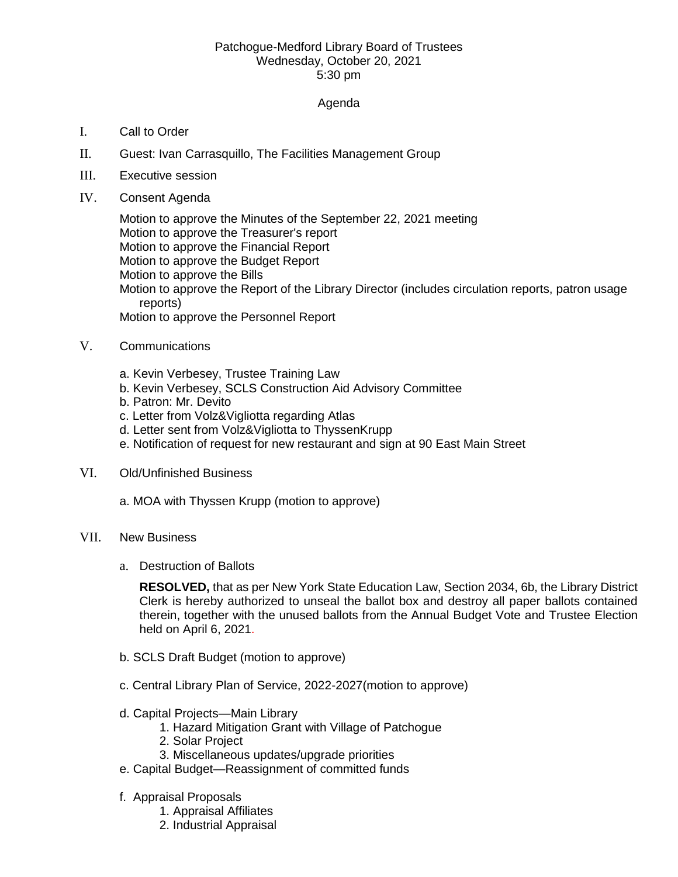## Patchogue-Medford Library Board of Trustees Wednesday, October 20, 2021 5:30 pm

## Agenda

- I. Call to Order
- II. Guest: Ivan Carrasquillo, The Facilities Management Group
- III. Executive session
- IV. Consent Agenda

Motion to approve the Minutes of the September 22, 2021 meeting Motion to approve the Treasurer's report Motion to approve the Financial Report Motion to approve the Budget Report Motion to approve the Bills Motion to approve the Report of the Library Director (includes circulation reports, patron usage reports) Motion to approve the Personnel Report

- V. Communications
	- a. Kevin Verbesey, Trustee Training Law
	- b. Kevin Verbesey, SCLS Construction Aid Advisory Committee
	- b. Patron: Mr. Devito
	- c. Letter from Volz&Vigliotta regarding Atlas
	- d. Letter sent from Volz&Vigliotta to ThyssenKrupp
	- e. Notification of request for new restaurant and sign at 90 East Main Street
- VI. Old/Unfinished Business
	- a. MOA with Thyssen Krupp (motion to approve)
- VII. New Business
	- a. Destruction of Ballots

**RESOLVED,** that as per New York State Education Law, Section 2034, 6b, the Library District Clerk is hereby authorized to unseal the ballot box and destroy all paper ballots contained therein, together with the unused ballots from the Annual Budget Vote and Trustee Election held on April 6, 2021.

- b. SCLS Draft Budget (motion to approve)
- c. Central Library Plan of Service, 2022-2027(motion to approve)
- d. Capital Projects—Main Library
	- 1. Hazard Mitigation Grant with Village of Patchogue
	- 2. Solar Project
	- 3. Miscellaneous updates/upgrade priorities
- e. Capital Budget—Reassignment of committed funds
- f. Appraisal Proposals
	- 1. Appraisal Affiliates
	- 2. Industrial Appraisal